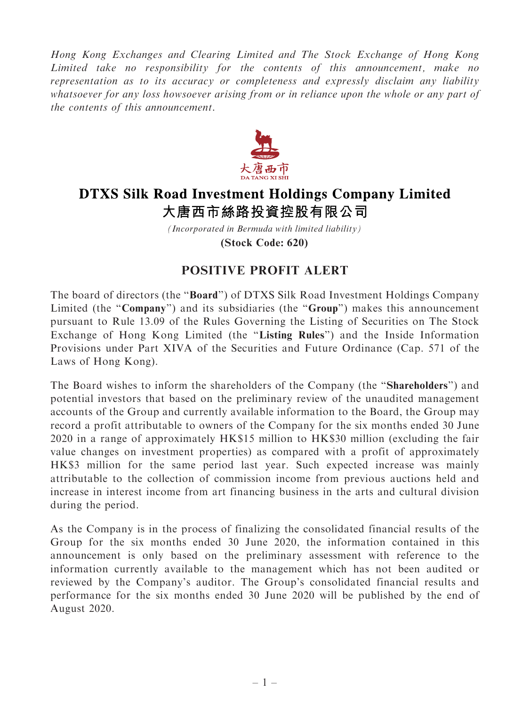Hong Kong Exchanges and Clearing Limited and The Stock Exchange of Hong Kong Limited take no responsibility for the contents of this announcement, make no representation as to its accuracy or completeness and expressly disclaim any liability whatsoever for any loss howsoever arising from or in reliance upon the whole or any part of the contents of this announcement.



## **DTXS Silk Road Investment Holdings Company Limited** 大唐西市絲路投資控股有限公司

*(Incorporated in Bermuda with limited liability)* **(Stock Code: 620)**

## POSITIVE PROFIT ALERT

The board of directors (the ''Board'') of DTXS Silk Road Investment Holdings Company Limited (the "Company") and its subsidiaries (the "Group") makes this announcement pursuant to Rule 13.09 of the Rules Governing the Listing of Securities on The Stock Exchange of Hong Kong Limited (the ''Listing Rules'') and the Inside Information Provisions under Part XIVA of the Securities and Future Ordinance (Cap. 571 of the Laws of Hong Kong).

The Board wishes to inform the shareholders of the Company (the ''Shareholders'') and potential investors that based on the preliminary review of the unaudited management accounts of the Group and currently available information to the Board, the Group may record a profit attributable to owners of the Company for the six months ended 30 June 2020 in a range of approximately HK\$15 million to HK\$30 million (excluding the fair value changes on investment properties) as compared with a profit of approximately HK\$3 million for the same period last year. Such expected increase was mainly attributable to the collection of commission income from previous auctions held and increase in interest income from art financing business in the arts and cultural division during the period.

As the Company is in the process of finalizing the consolidated financial results of the Group for the six months ended 30 June 2020, the information contained in this announcement is only based on the preliminary assessment with reference to the information currently available to the management which has not been audited or reviewed by the Company's auditor. The Group's consolidated financial results and performance for the six months ended 30 June 2020 will be published by the end of August 2020.